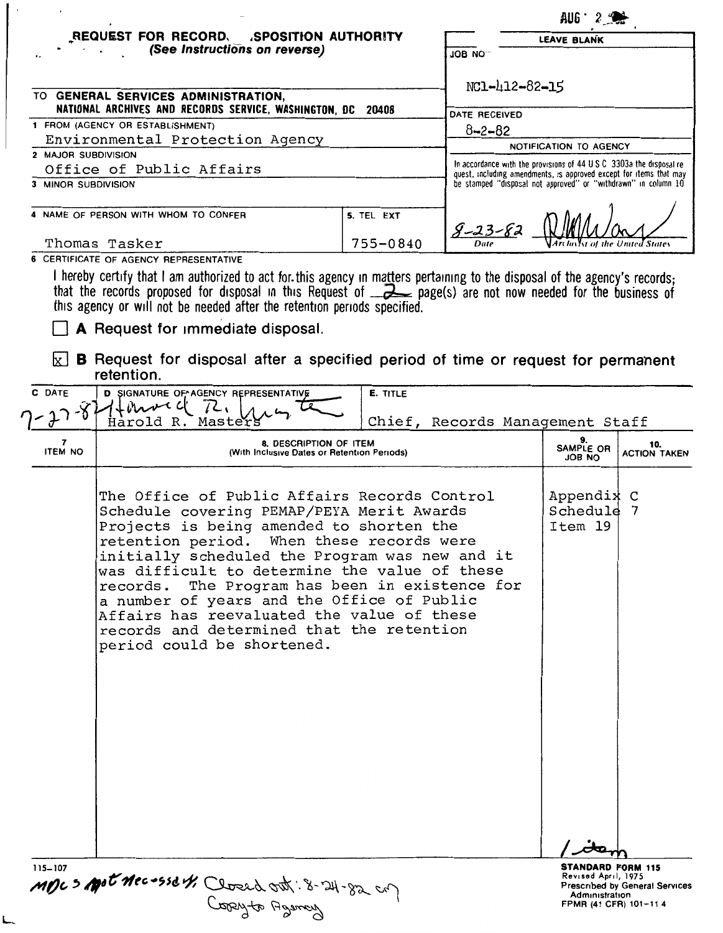|                                                                                                       | REQUEST FOR RECORD.<br><b>SPOSITION AUTHORITY</b>                                                                                                                                                                                                                                                                                 |            | <b>LEAVE BLANK</b>                                                                                                                   |                                                                      |                            |  |
|-------------------------------------------------------------------------------------------------------|-----------------------------------------------------------------------------------------------------------------------------------------------------------------------------------------------------------------------------------------------------------------------------------------------------------------------------------|------------|--------------------------------------------------------------------------------------------------------------------------------------|----------------------------------------------------------------------|----------------------------|--|
|                                                                                                       | (See Instructions on reverse)                                                                                                                                                                                                                                                                                                     |            | <b>JOB NO</b>                                                                                                                        |                                                                      |                            |  |
| TO GENERAL SERVICES ADMINISTRATION,<br>NATIONAL ARCHIVES AND RECORDS SERVICE, WASHINGTON, DC<br>20408 |                                                                                                                                                                                                                                                                                                                                   |            | NC1-412-82-15                                                                                                                        |                                                                      |                            |  |
|                                                                                                       | 1 FROM (AGENCY OR ESTABLISHMENT)                                                                                                                                                                                                                                                                                                  |            | DATE RECEIVED                                                                                                                        |                                                                      |                            |  |
|                                                                                                       | Environmental Protection Agency                                                                                                                                                                                                                                                                                                   |            | $8 - 2 - 82$                                                                                                                         |                                                                      |                            |  |
| 2 MAJOR SUBDIVISION                                                                                   |                                                                                                                                                                                                                                                                                                                                   |            |                                                                                                                                      | NOTIFICATION TO AGENCY                                               |                            |  |
|                                                                                                       | Office of Public Affairs                                                                                                                                                                                                                                                                                                          |            |                                                                                                                                      | In accordance with the provisions of 44 U S C 3303a the disposal re- |                            |  |
| 3 MINOR SUBDIVISION                                                                                   |                                                                                                                                                                                                                                                                                                                                   |            | quest, including amendments, is approved except for items that may<br>be stamped "disposal not approved" or "withdrawn" in column 10 |                                                                      |                            |  |
|                                                                                                       |                                                                                                                                                                                                                                                                                                                                   |            |                                                                                                                                      |                                                                      |                            |  |
|                                                                                                       | 4 NAME OF PERSON WITH WHOM TO CONFER                                                                                                                                                                                                                                                                                              | 5. TEL EXT |                                                                                                                                      |                                                                      |                            |  |
|                                                                                                       | Thomas Tasker                                                                                                                                                                                                                                                                                                                     | 755-0840   |                                                                                                                                      |                                                                      |                            |  |
|                                                                                                       | I hereby certify that I am authorized to act for this agency in matters pertaining to the disposal of the agency's records;<br>that the records proposed for disposal in this Request of $\rightarrow$ page(s) are not now needed for the business of<br>this agency or will not be needed after the retention periods specified. |            |                                                                                                                                      |                                                                      |                            |  |
| C DATE                                                                                                | A Request for immediate disposal.<br>B Request for disposal after a specified period of time or request for permanent<br>retention.<br>D SIGNATURE OF AGENCY REPRESENTATIVE<br>$+$ crowec                                                                                                                                         | E. TITLE   |                                                                                                                                      |                                                                      |                            |  |
|                                                                                                       | Harold R. Master                                                                                                                                                                                                                                                                                                                  |            | Chief, Records Management Staff                                                                                                      |                                                                      |                            |  |
| <b>ITEM NO</b>                                                                                        | 8. DESCRIPTION OF ITEM<br>(With Inclusive Dates or Retention Periods)                                                                                                                                                                                                                                                             |            |                                                                                                                                      | 9.<br>SAMPLE OR<br>JOB NO                                            | 10.<br><b>ACTION TAKEN</b> |  |

*I* item **STANDARD FORM 115**<br>Revised April, 1975<br>Prescribed by General Services<br>Administration<br>FPMR (41 CFR) 101–11 4

115-107<br>**MDC > Apot Mec +55d th Closed ont** : 8-24-82 cm Jones Agency

L